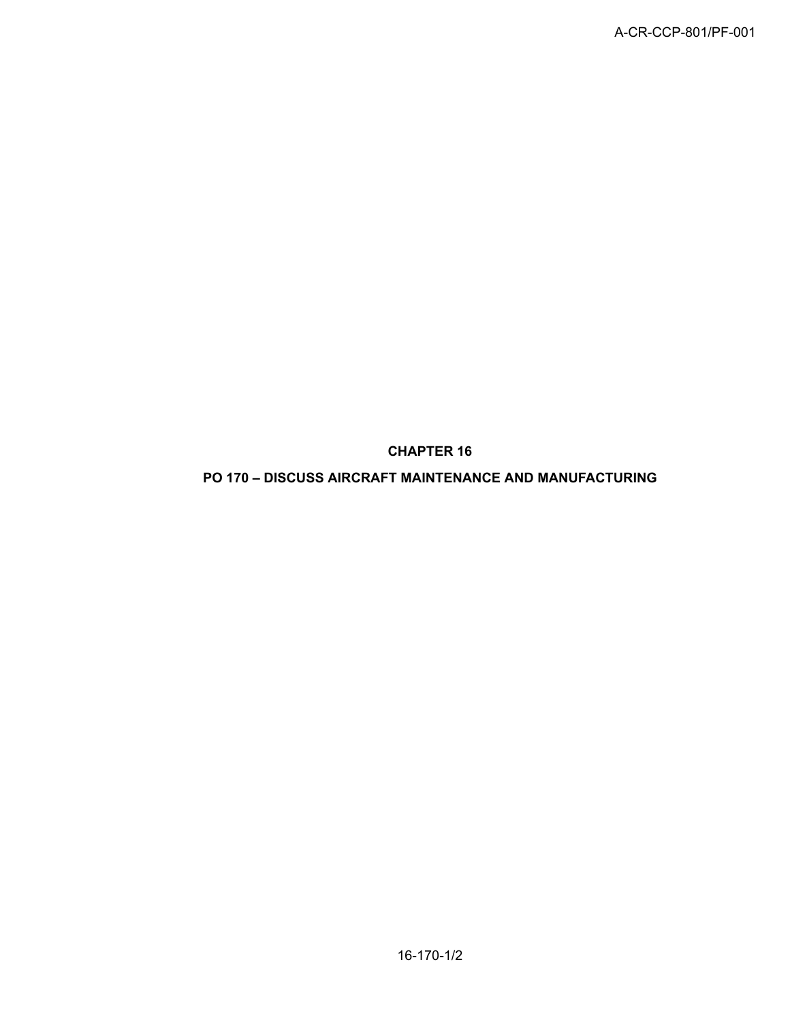**CHAPTER 16**

**PO 170 – DISCUSS AIRCRAFT MAINTENANCE AND MANUFACTURING**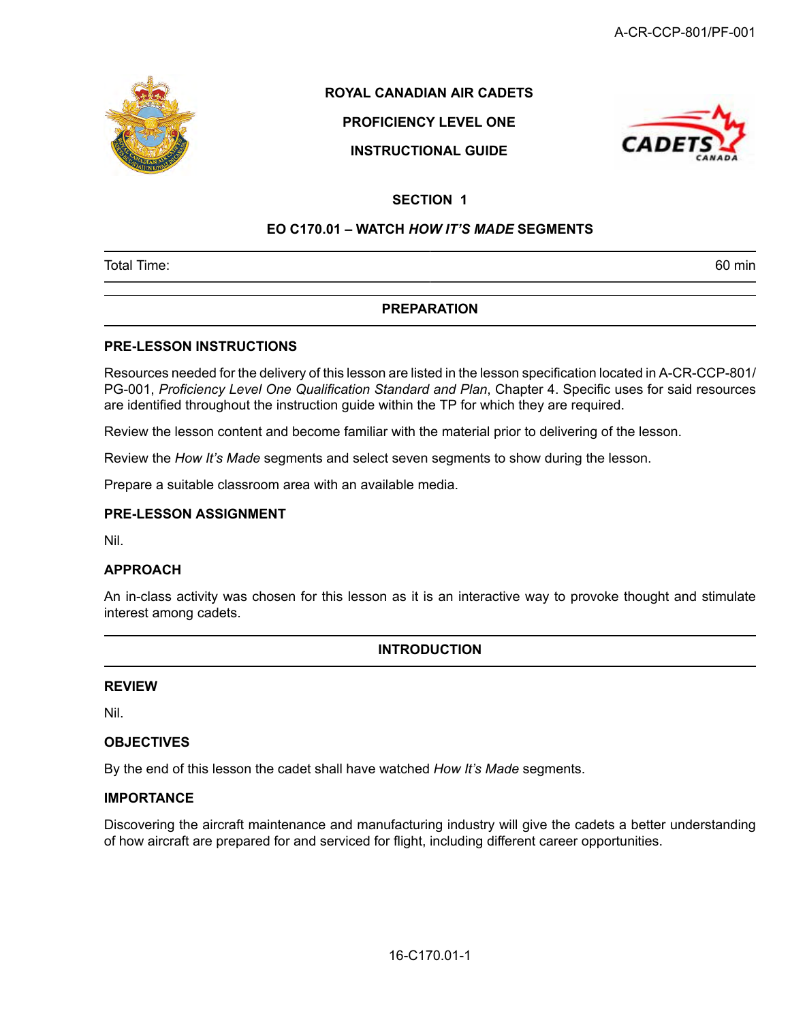

## **ROYAL CANADIAN AIR CADETS**

# **PROFICIENCY LEVEL ONE**

## **INSTRUCTIONAL GUIDE**



## **SECTION 1**

#### **EO C170.01 – WATCH** *HOW IT'S MADE* **SEGMENTS**

Total Time: 60 min

### **PREPARATION**

#### **PRE-LESSON INSTRUCTIONS**

Resources needed for the delivery of this lesson are listed in the lesson specification located in A-CR-CCP-801/ PG-001, *Proficiency Level One Qualification Standard and Plan*, Chapter 4. Specific uses for said resources are identified throughout the instruction guide within the TP for which they are required.

Review the lesson content and become familiar with the material prior to delivering of the lesson.

Review the *How It's Made* segments and select seven segments to show during the lesson.

Prepare a suitable classroom area with an available media.

#### **PRE-LESSON ASSIGNMENT**

Nil.

#### **APPROACH**

An in-class activity was chosen for this lesson as it is an interactive way to provoke thought and stimulate interest among cadets.

## **INTRODUCTION**

#### **REVIEW**

Nil.

#### **OBJECTIVES**

By the end of this lesson the cadet shall have watched *How It's Made* segments.

#### **IMPORTANCE**

Discovering the aircraft maintenance and manufacturing industry will give the cadets a better understanding of how aircraft are prepared for and serviced for flight, including different career opportunities.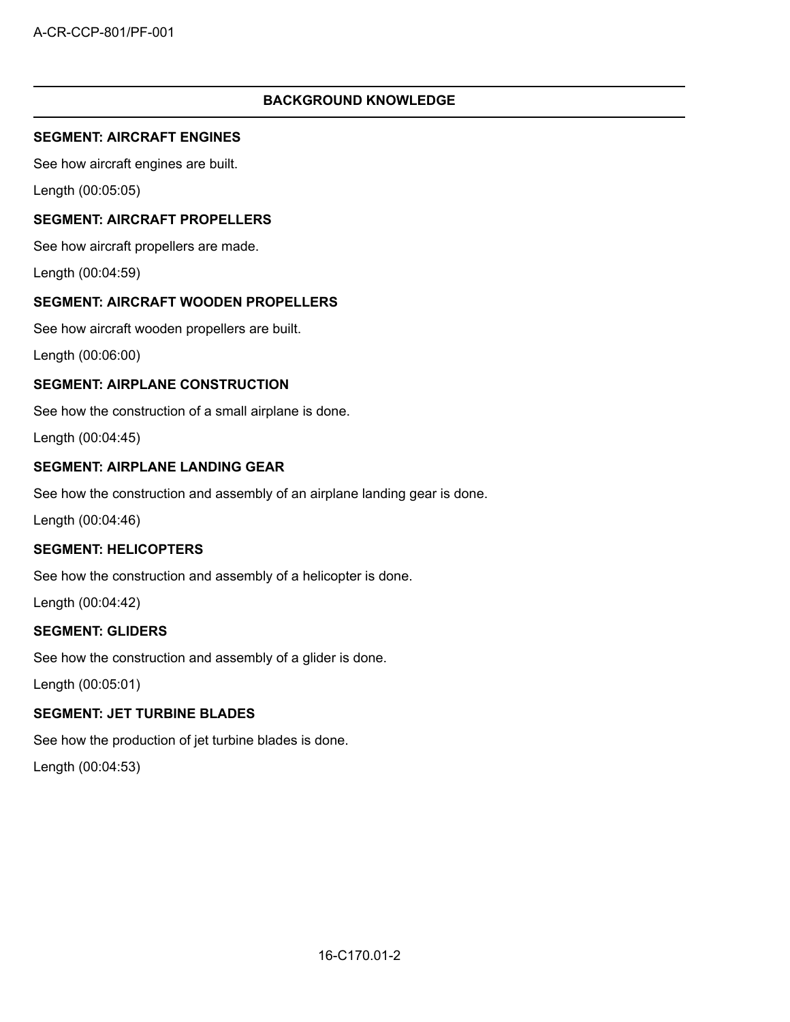#### **BACKGROUND KNOWLEDGE**

#### **SEGMENT: AIRCRAFT ENGINES**

See how aircraft engines are built.

Length (00:05:05)

#### **SEGMENT: AIRCRAFT PROPELLERS**

See how aircraft propellers are made.

Length (00:04:59)

#### **SEGMENT: AIRCRAFT WOODEN PROPELLERS**

See how aircraft wooden propellers are built.

Length (00:06:00)

### **SEGMENT: AIRPLANE CONSTRUCTION**

See how the construction of a small airplane is done.

Length (00:04:45)

### **SEGMENT: AIRPLANE LANDING GEAR**

See how the construction and assembly of an airplane landing gear is done.

Length (00:04:46)

### **SEGMENT: HELICOPTERS**

See how the construction and assembly of a helicopter is done.

Length (00:04:42)

#### **SEGMENT: GLIDERS**

See how the construction and assembly of a glider is done.

Length (00:05:01)

## **SEGMENT: JET TURBINE BLADES**

See how the production of jet turbine blades is done.

Length (00:04:53)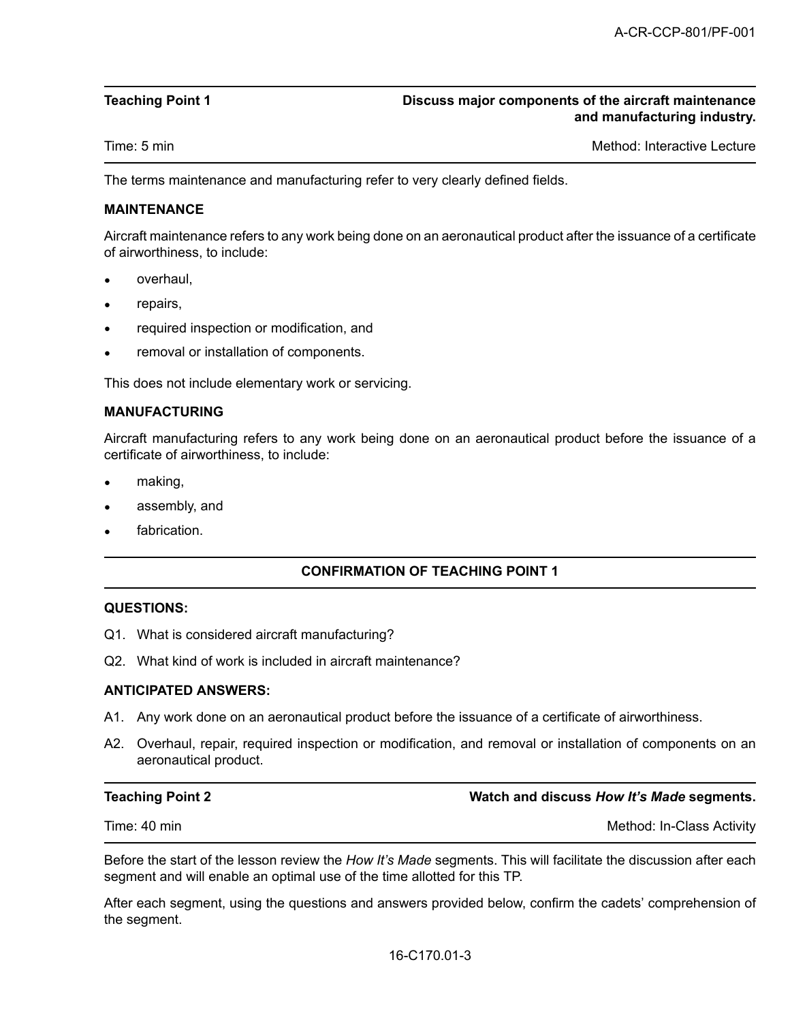#### **Teaching Point 1 Discuss major components of the aircraft maintenance and manufacturing industry.**

Time: 5 min Method: Interactive Lecture Companies and Method: Interactive Lecture

The terms maintenance and manufacturing refer to very clearly defined fields.

#### **MAINTENANCE**

Aircraft maintenance refers to any work being done on an aeronautical product after the issuance of a certificate of airworthiness, to include:

- overhaul,
- repairs,
- required inspection or modification, and
- removal or installation of components.

This does not include elementary work or servicing.

#### **MANUFACTURING**

Aircraft manufacturing refers to any work being done on an aeronautical product before the issuance of a certificate of airworthiness, to include:

- making,
- assembly, and
- fabrication.

#### **CONFIRMATION OF TEACHING POINT 1**

#### **QUESTIONS:**

- Q1. What is considered aircraft manufacturing?
- Q2. What kind of work is included in aircraft maintenance?

#### **ANTICIPATED ANSWERS:**

- A1. Any work done on an aeronautical product before the issuance of a certificate of airworthiness.
- A2. Overhaul, repair, required inspection or modification, and removal or installation of components on an aeronautical product.

**Teaching Point 2 Watch and discuss** *How It's Made* **segments.**

Time: 40 min Method: In-Class Activity

Before the start of the lesson review the *How It's Made* segments. This will facilitate the discussion after each segment and will enable an optimal use of the time allotted for this TP.

After each segment, using the questions and answers provided below, confirm the cadets' comprehension of the segment.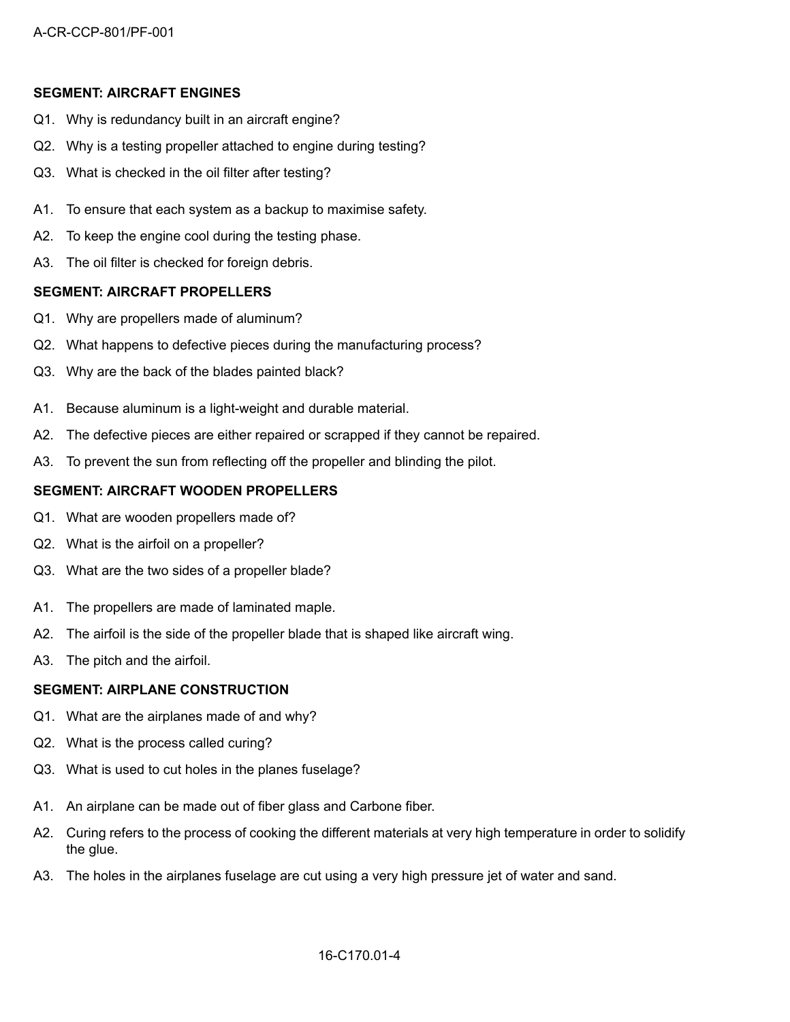#### **SEGMENT: AIRCRAFT ENGINES**

- Q1. Why is redundancy built in an aircraft engine?
- Q2. Why is a testing propeller attached to engine during testing?
- Q3. What is checked in the oil filter after testing?
- A1. To ensure that each system as a backup to maximise safety.
- A2. To keep the engine cool during the testing phase.
- A3. The oil filter is checked for foreign debris.

#### **SEGMENT: AIRCRAFT PROPELLERS**

- Q1. Why are propellers made of aluminum?
- Q2. What happens to defective pieces during the manufacturing process?
- Q3. Why are the back of the blades painted black?
- A1. Because aluminum is a light-weight and durable material.
- A2. The defective pieces are either repaired or scrapped if they cannot be repaired.
- A3. To prevent the sun from reflecting off the propeller and blinding the pilot.

#### **SEGMENT: AIRCRAFT WOODEN PROPELLERS**

- Q1. What are wooden propellers made of?
- Q2. What is the airfoil on a propeller?
- Q3. What are the two sides of a propeller blade?
- A1. The propellers are made of laminated maple.
- A2. The airfoil is the side of the propeller blade that is shaped like aircraft wing.
- A3. The pitch and the airfoil.

#### **SEGMENT: AIRPLANE CONSTRUCTION**

- Q1. What are the airplanes made of and why?
- Q2. What is the process called curing?
- Q3. What is used to cut holes in the planes fuselage?
- A1. An airplane can be made out of fiber glass and Carbone fiber.
- A2. Curing refers to the process of cooking the different materials at very high temperature in order to solidify the glue.
- A3. The holes in the airplanes fuselage are cut using a very high pressure jet of water and sand.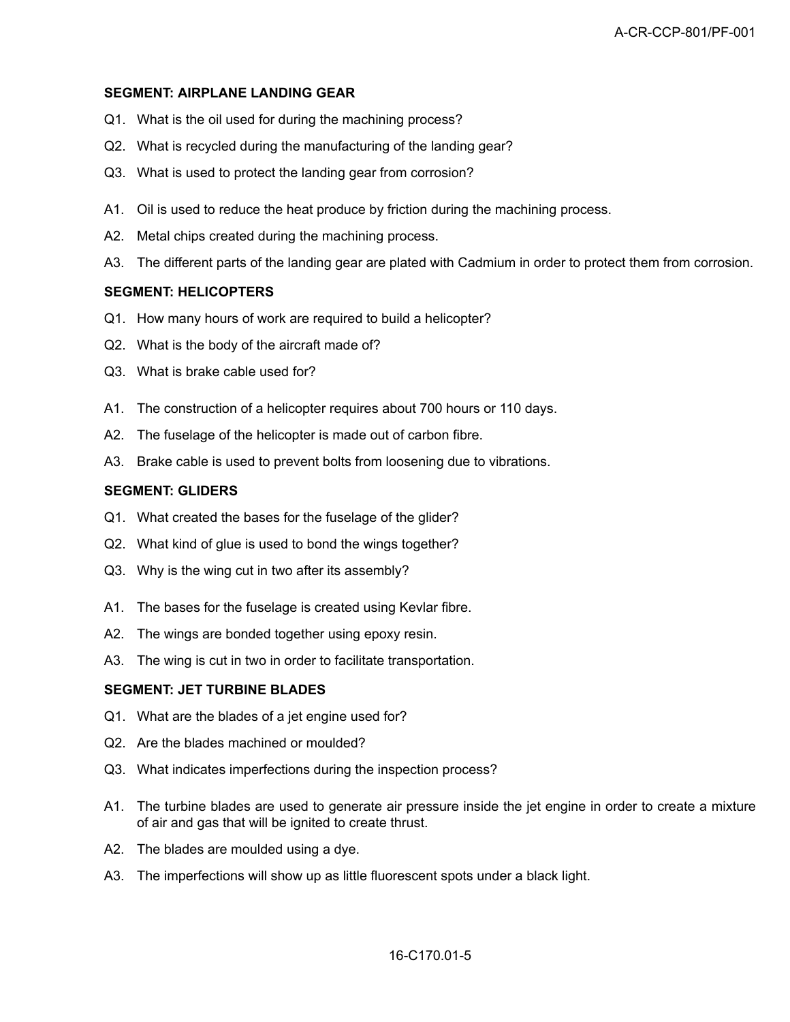#### **SEGMENT: AIRPLANE LANDING GEAR**

- Q1. What is the oil used for during the machining process?
- Q2. What is recycled during the manufacturing of the landing gear?
- Q3. What is used to protect the landing gear from corrosion?
- A1. Oil is used to reduce the heat produce by friction during the machining process.
- A2. Metal chips created during the machining process.
- A3. The different parts of the landing gear are plated with Cadmium in order to protect them from corrosion.

#### **SEGMENT: HELICOPTERS**

- Q1. How many hours of work are required to build a helicopter?
- Q2. What is the body of the aircraft made of?
- Q3. What is brake cable used for?
- A1. The construction of a helicopter requires about 700 hours or 110 days.
- A2. The fuselage of the helicopter is made out of carbon fibre.
- A3. Brake cable is used to prevent bolts from loosening due to vibrations.

#### **SEGMENT: GLIDERS**

- Q1. What created the bases for the fuselage of the glider?
- Q2. What kind of glue is used to bond the wings together?
- Q3. Why is the wing cut in two after its assembly?
- A1. The bases for the fuselage is created using Kevlar fibre.
- A2. The wings are bonded together using epoxy resin.
- A3. The wing is cut in two in order to facilitate transportation.

#### **SEGMENT: JET TURBINE BLADES**

- Q1. What are the blades of a jet engine used for?
- Q2. Are the blades machined or moulded?
- Q3. What indicates imperfections during the inspection process?
- A1. The turbine blades are used to generate air pressure inside the jet engine in order to create a mixture of air and gas that will be ignited to create thrust.
- A2. The blades are moulded using a dye.
- A3. The imperfections will show up as little fluorescent spots under a black light.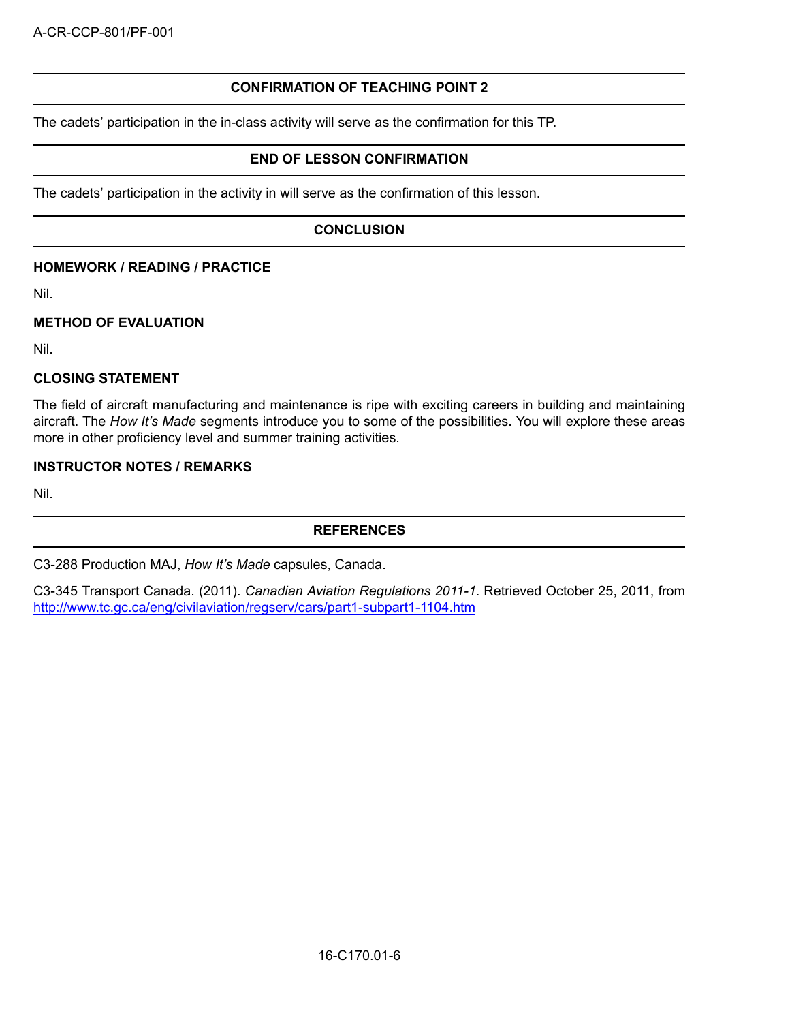## **CONFIRMATION OF TEACHING POINT 2**

The cadets' participation in the in-class activity will serve as the confirmation for this TP.

#### **END OF LESSON CONFIRMATION**

The cadets' participation in the activity in will serve as the confirmation of this lesson.

#### **CONCLUSION**

#### **HOMEWORK / READING / PRACTICE**

Nil.

#### **METHOD OF EVALUATION**

Nil.

#### **CLOSING STATEMENT**

The field of aircraft manufacturing and maintenance is ripe with exciting careers in building and maintaining aircraft. The *How It's Made* segments introduce you to some of the possibilities. You will explore these areas more in other proficiency level and summer training activities.

#### **INSTRUCTOR NOTES / REMARKS**

Nil.

#### **REFERENCES**

C3-288 Production MAJ, *How It's Made* capsules, Canada.

C3-345 Transport Canada. (2011). *Canadian Aviation Regulations 2011-1*. Retrieved October 25, 2011, from http://www.tc.gc.ca/eng/civilaviation/regserv/cars/part1-subpart1-1104.htm